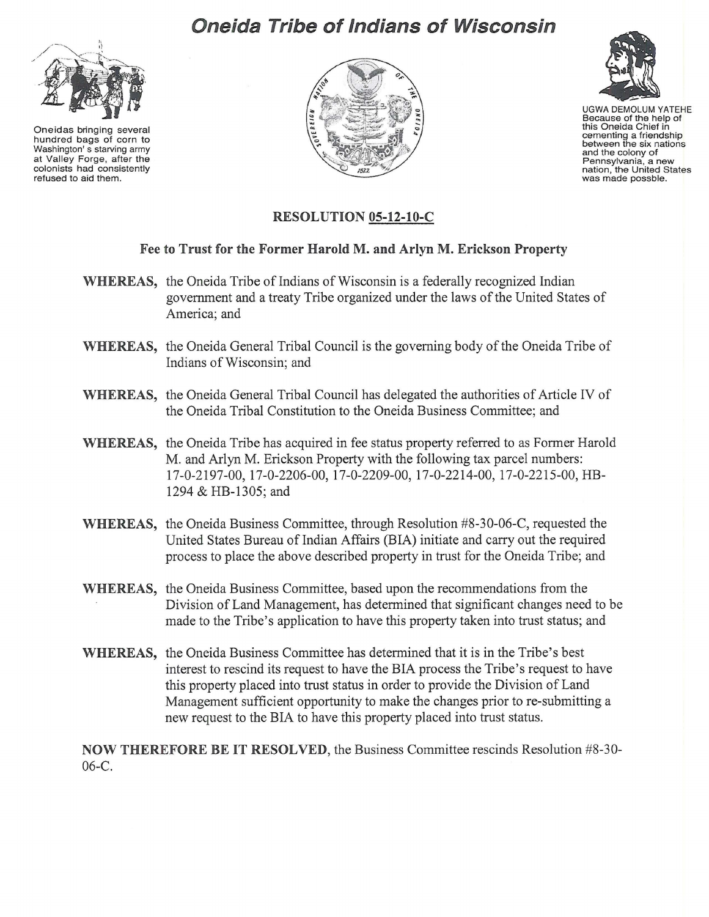## **Oneida Tribe of Indians of Wisconsin**



Oneidas bringing several hundred bags of corn to Washington's starving army at Valley Forge, after the colonists had consistently refused to aid them.





UGWA DEMOLUM YATEHE Because of the help of<br>this Oneida Chief in cementing a friendship between the six nations and the colony of Pennsylvania, a new<br>nation, the United States<br>was made possble.

## RESOLUTION 05-12-10-C

## Fee to Trust for the Former Harold M. and Arlyn M. Erickson Property

- WHEREAS, the Oneida Tribe of Indians of Wisconsin is a federally recognized Indian government and a treaty Tribe organized under the laws ofthe United States of America; and
- WHEREAS, the Oneida General Tribal Council is the governing body of the Oneida Tribe of Indians of Wisconsin; and
- WHEREAS, the Oneida General Tribal Council has delegated the authorities of Article IV of the Oneida Tribal Constitution to the Oneida Business Committee; and
- WHEREAS, the Oneida Tribe has acquired in fee status property referred to as Former Harold M. and Arlyn M. Erickson Property with the following tax parcel numbers: 17-0-2197-00, 17-0-2206-00, 17-0-2209-00, 17-0-22 14-00, 17-0-2215-00, HB-1294 & HB-1305; and
- WHEREAS, the Oneida Business Committee, through Resolution #8-30-06-C, requested the United States Bureau of Indian Affairs (BIA) initiate and carry out the required process to place the above described property in trust for the Oneida Tribe; and
- WHEREAS, the Oneida Business Committee, based upon the recommendations from the Division of Land Management, has determined that significant changes need to be made to the Tribe's application to have this property taken into trust status; and
- WHEREAS, the Oneida Business Committee has determined that it is in the Tribe's best interest to rescind its request to have the BIA process the Tribe's request to have this property placed into trust status in order to provide the Division of Land Management sufficient opportunity to make the changes prior to re-submitting a new request to the BIA to have this property placed into trust status.

NOW THEREFORE BE IT RESOLVED, the Business Committee rescinds Resolution #8-30- 06-C.